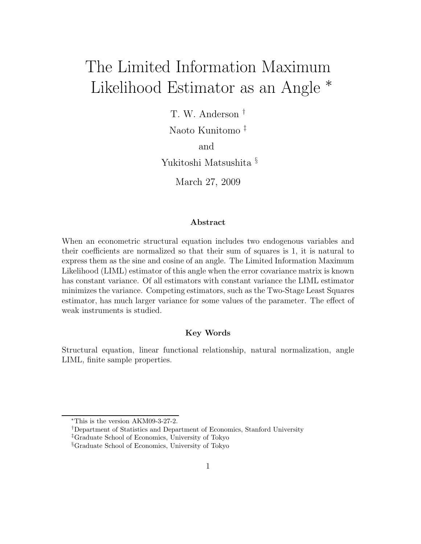# The Limited Information Maximum Likelihood Estimator as an Angle <sup>∗</sup>

T. W. Anderson †

Naoto Kunitomo ‡

and

Yukitoshi Matsushita §

March 27, 2009

#### **Abstract**

When an econometric structural equation includes two endogenous variables and their coefficients are normalized so that their sum of squares is 1, it is natural to express them as the sine and cosine of an angle. The Limited Information Maximum Likelihood (LIML) estimator of this angle when the error covariance matrix is known has constant variance. Of all estimators with constant variance the LIML estimator minimizes the variance. Competing estimators, such as the Two-Stage Least Squares estimator, has much larger variance for some values of the parameter. The effect of weak instruments is studied.

#### **Key Words**

Structural equation, linear functional relationship, natural normalization, angle LIML, finite sample properties.

<sup>∗</sup>This is the version AKM09-3-27-2.

<sup>†</sup>Department of Statistics and Department of Economics, Stanford University

<sup>‡</sup>Graduate School of Economics, University of Tokyo

<sup>§</sup>Graduate School of Economics, University of Tokyo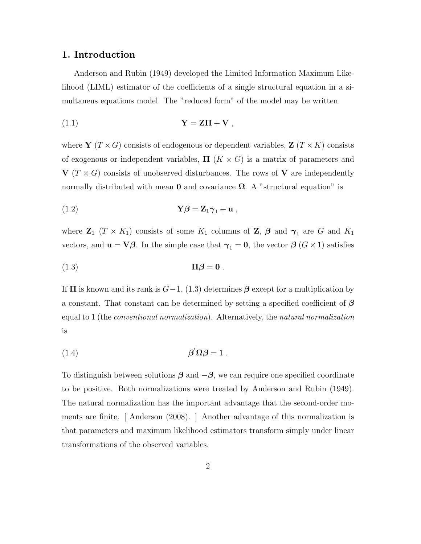#### **1. Introduction**

Anderson and Rubin (1949) developed the Limited Information Maximum Likelihood (LIML) estimator of the coefficients of a single structural equation in a simultaneus equations model. The "reduced form" of the model may be written

$$
Y = Z\Pi + V,
$$

where **Y**  $(T \times G)$  consists of endogenous or dependent variables, **Z**  $(T \times K)$  consists of exogenous or independent variables,  $\Pi$  ( $K \times G$ ) is a matrix of parameters and  $V(T \times G)$  consists of unobserved disturbances. The rows of V are independently normally distributed with mean **0** and covariance  $\Omega$ . A "structural equation" is

(1.2) 
$$
\mathbf{Y}\boldsymbol{\beta} = \mathbf{Z}_1\boldsymbol{\gamma}_1 + \mathbf{u} \ ,
$$

where  $\mathbf{Z}_1$  ( $T \times K_1$ ) consists of some  $K_1$  columns of  $\mathbf{Z}$ ,  $\boldsymbol{\beta}$  and  $\boldsymbol{\gamma}_1$  are G and  $K_1$ vectors, and  $\mathbf{u} = \nabla \beta$ . In the simple case that  $\gamma_1 = \mathbf{0}$ , the vector  $\beta$  ( $G \times 1$ ) satisfies

$$
(1.3) \t\t \Pi \beta = 0.
$$

If  $\Pi$  is known and its rank is  $G-1$ , (1.3) determines  $\beta$  except for a multiplication by a constant. That constant can be determined by setting a specified coefficient of *β* equal to 1 (the *conventional normalization*). Alternatively, the *natural normalization* is

$$
\beta' \Omega \beta = 1 .
$$

To distinguish between solutions  $\beta$  and  $-\beta$ , we can require one specified coordinate to be positive. Both normalizations were treated by Anderson and Rubin (1949). The natural normalization has the important advantage that the second-order moments are finite. [ Anderson (2008). ] Another advantage of this normalization is that parameters and maximum likelihood estimators transform simply under linear transformations of the observed variables.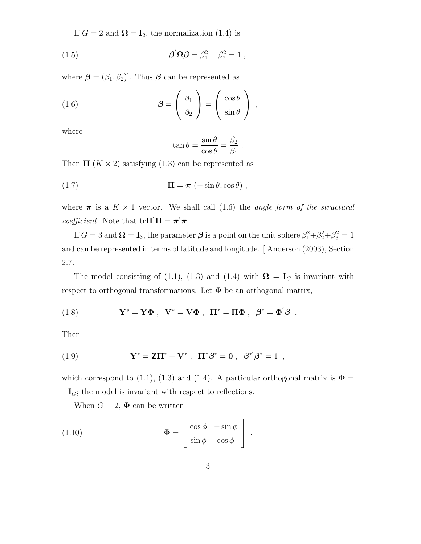If  $G = 2$  and  $\Omega = I_2$ , the normalization (1.4) is

(1.5) 
$$
\beta' \Omega \beta = \beta_1^2 + \beta_2^2 = 1,
$$

where  $\boldsymbol{\beta} = (\beta_1, \beta_2)'$ . Thus  $\boldsymbol{\beta}$  can be represented as

(1.6) 
$$
\boldsymbol{\beta} = \begin{pmatrix} \beta_1 \\ \beta_2 \end{pmatrix} = \begin{pmatrix} \cos \theta \\ \sin \theta \end{pmatrix} ,
$$

where

$$
\tan \theta = \frac{\sin \theta}{\cos \theta} = \frac{\beta_2}{\beta_1} .
$$

Then  $\Pi$  ( $K \times 2$ ) satisfying (1.3) can be represented as

(1.7) 
$$
\Pi = \pi \left( -\sin \theta, \cos \theta \right),
$$

where  $\pi$  is a  $K \times 1$  vector. We shall call (1.6) the *angle form of the structural coefficient*. Note that  $tr\mathbf{\Pi}'\mathbf{\Pi} = \pi'\pi$ .

If  $G = 3$  and  $\Omega = I_3$ , the parameter  $\beta$  is a point on the unit sphere  $\beta_1^2 + \beta_2^2 + \beta_3^2 = 1$ and can be represented in terms of latitude and longitude. [ Anderson (2003), Section 2.7. ]

The model consisting of (1.1), (1.3) and (1.4) with  $\Omega = I_G$  is invariant with respect to orthogonal transformations. Let  $\Phi$  be an orthogonal matrix,

(1.8) 
$$
\mathbf{Y}^* = \mathbf{Y} \mathbf{\Phi} \ , \ \mathbf{V}^* = \mathbf{V} \mathbf{\Phi} \ , \ \ \mathbf{\Pi}^* = \mathbf{\Pi} \mathbf{\Phi} \ , \ \ \boldsymbol{\beta}^* = \mathbf{\Phi}' \boldsymbol{\beta} \ .
$$

Then

(1.9) 
$$
\mathbf{Y}^* = \mathbf{Z}\mathbf{\Pi}^* + \mathbf{V}^*, \ \ \mathbf{\Pi}^* \boldsymbol{\beta}^* = \mathbf{0}, \ \ \boldsymbol{\beta}^{*'} \boldsymbol{\beta}^* = 1,
$$

which correspond to (1.1), (1.3) and (1.4). A particular orthogonal matrix is  $\Phi =$  $-\mathbf{I}_G$ ; the model is invariant with respect to reflections.

When  $G = 2$ ,  $\Phi$  can be written

(1.10) 
$$
\mathbf{\Phi} = \begin{bmatrix} \cos \phi & -\sin \phi \\ \sin \phi & \cos \phi \end{bmatrix}.
$$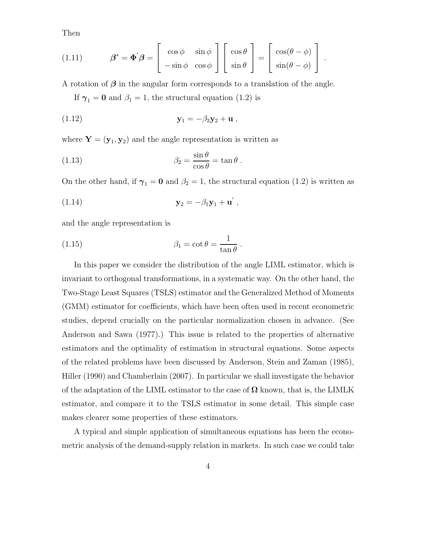Then

(1.11) 
$$
\beta^* = \Phi' \beta = \begin{bmatrix} \cos \phi & \sin \phi \\ -\sin \phi & \cos \phi \end{bmatrix} \begin{bmatrix} \cos \theta \\ \sin \theta \end{bmatrix} = \begin{bmatrix} \cos(\theta - \phi) \\ \sin(\theta - \phi) \end{bmatrix}.
$$

A rotation of *β* in the angular form corresponds to a translation of the angle.

If  $\gamma_1 = 0$  and  $\beta_1 = 1$ , the structural equation (1.2) is

$$
\mathbf{y}_1 = -\beta_2 \mathbf{y}_2 + \mathbf{u} \;,
$$

where  $\mathbf{Y} = (\mathbf{y}_1, \mathbf{y}_2)$  and the angle representation is written as

(1.13) 
$$
\beta_2 = \frac{\sin \theta}{\cos \theta} = \tan \theta.
$$

On the other hand, if  $\gamma_1 = 0$  and  $\beta_2 = 1$ , the structural equation (1.2) is written as

$$
\mathbf{y}_2 = -\beta_1 \mathbf{y}_1 + \mathbf{u}' \,,
$$

and the angle representation is

(1.15) 
$$
\beta_1 = \cot \theta = \frac{1}{\tan \theta}.
$$

In this paper we consider the distribution of the angle LIML estimator, which is invariant to orthogonal transformations, in a systematic way. On the other hand, the Two-Stage Least Squares (TSLS) estimator and the Generalized Method of Moments (GMM) estimator for coefficients, which have been often used in recent econometric studies, depend crucially on the particular normalization chosen in advance. (See Anderson and Sawa (1977).) This issue is related to the properties of alternative estimators and the optimality of estimation in structural equations. Some aspects of the related problems have been discussed by Anderson, Stein and Zaman (1985), Hiller (1990) and Chamberlain (2007). In particular we shall investigate the behavior of the adaptation of the LIML estimator to the case of **Ω** known, that is, the LIMLK estimator, and compare it to the TSLS estimator in some detail. This simple case makes clearer some properties of these estimators.

A typical and simple application of simultaneous equations has been the econometric analysis of the demand-supply relation in markets. In such case we could take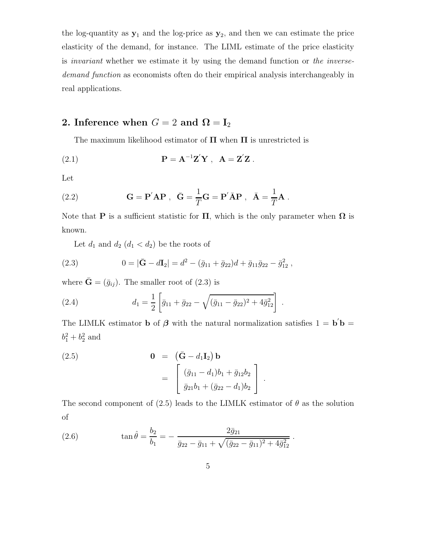the log-quantity as  $y_1$  and the log-price as  $y_2$ , and then we can estimate the price elasticity of the demand, for instance. The LIML estimate of the price elasticity is *invariant* whether we estimate it by using the demand function or *the inversedemand function* as economists often do their empirical analysis interchangeably in real applications.

# **2.** Inference when  $G = 2$  and  $\Omega = I_2$

The maximum likelihood estimator of **Π** when **Π** is unrestricted is

(2.1) 
$$
\mathbf{P} = \mathbf{A}^{-1} \mathbf{Z}' \mathbf{Y} , \quad \mathbf{A} = \mathbf{Z}' \mathbf{Z} .
$$

Let

(2.2) 
$$
\mathbf{G} = \mathbf{P}' \mathbf{A} \mathbf{P} , \ \ \bar{\mathbf{G}} = \frac{1}{T} \mathbf{G} = \mathbf{P}' \bar{\mathbf{A}} \mathbf{P} , \ \ \bar{\mathbf{A}} = \frac{1}{T} \mathbf{A} .
$$

Note that **P** is a sufficient statistic for **Π**, which is the only parameter when  $\Omega$  is known.

Let  $d_1$  and  $d_2$   $(d_1 < d_2)$  be the roots of

(2.3) 
$$
0 = |\bar{G} - dI_2| = d^2 - (\bar{g}_{11} + \bar{g}_{22})d + \bar{g}_{11}\bar{g}_{22} - \bar{g}_{12}^2,
$$

where  $\bar{\mathbf{G}} = (\bar{g}_{ij})$ . The smaller root of (2.3) is

(2.4) 
$$
d_1 = \frac{1}{2} \left[ \bar{g}_{11} + \bar{g}_{22} - \sqrt{(\bar{g}_{11} - \bar{g}_{22})^2 + 4\bar{g}_{12}^2} \right].
$$

The LIMLK estimator **b** of  $\boldsymbol{\beta}$  with the natural normalization satisfies  $1 = \mathbf{b}'\mathbf{b} =$  $b_1^2 + b_2^2$  and

(2.5) 
$$
\mathbf{0} = (\bar{\mathbf{G}} - d_1 \mathbf{I}_2) \mathbf{b} \n= \begin{bmatrix} (\bar{g}_{11} - d_1)b_1 + \bar{g}_{12}b_2 \\ \bar{g}_{21}b_1 + (\bar{g}_{22} - d_1)b_2 \end{bmatrix}.
$$

The second component of (2.5) leads to the LIMLK estimator of  $\theta$  as the solution of

(2.6) 
$$
\tan \hat{\theta} = \frac{b_2}{b_1} = -\frac{2\bar{g}_{21}}{\bar{g}_{22} - \bar{g}_{11} + \sqrt{(\bar{g}_{22} - \bar{g}_{11})^2 + 4\bar{g}_{12}^2}}.
$$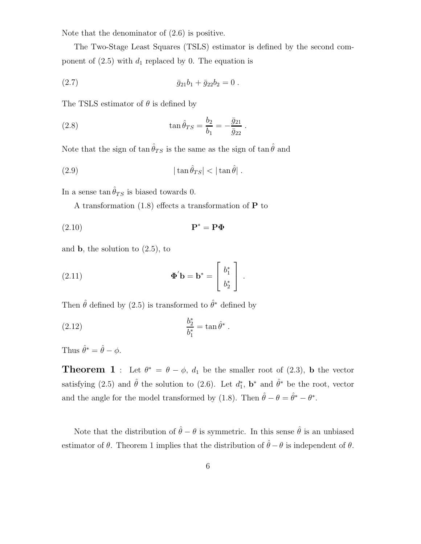Note that the denominator of (2.6) is positive.

The Two-Stage Least Squares (TSLS) estimator is defined by the second component of  $(2.5)$  with  $d_1$  replaced by 0. The equation is

(2.7) 
$$
\bar{g}_{21}b_1 + \bar{g}_{22}b_2 = 0.
$$

The TSLS estimator of  $\theta$  is defined by

(2.8) 
$$
\tan \hat{\theta}_{TS} = \frac{b_2}{b_1} = -\frac{\bar{g}_{21}}{\bar{g}_{22}}.
$$

Note that the sign of  $\tan \hat{\theta}_{TS}$  is the same as the sign of  $\tan \hat{\theta}$  and

|tan ˆθT S| < |tan ˆ (2.9) θ| .

In a sense tan  $\hat{\theta}_{TS}$  is biased towards 0.

A transformation (1.8) effects a transformation of **P** to

$$
P^* = P\Phi
$$

and **b**, the solution to (2.5), to

(2.11) 
$$
\mathbf{\Phi}' \mathbf{b} = \mathbf{b}^* = \begin{bmatrix} b_1^* \\ b_2^* \end{bmatrix}.
$$

Then  $\hat{\theta}$  defined by (2.5) is transformed to  $\hat{\theta}^*$  defined by

(2.12) 
$$
\frac{b_2^*}{b_1^*} = \tan \hat{\theta}^*.
$$

Thus  $\hat{\theta}^* = \hat{\theta} - \phi$ .

**Theorem 1** : Let  $\theta^* = \theta - \phi$ ,  $d_1$  be the smaller root of (2.3), **b** the vector satisfying (2.5) and  $\hat{\theta}$  the solution to (2.6). Let  $d_1^*$ ,  $\mathbf{b}^*$  and  $\hat{\theta}^*$  be the root, vector and the angle for the model transformed by (1.8). Then  $\hat{\theta} - \theta = \hat{\theta}^* - \theta^*$ .

Note that the distribution of  $\hat{\theta} - \theta$  is symmetric. In this sense  $\hat{\theta}$  is an unbiased estimator of  $\theta$ . Theorem 1 implies that the distribution of  $\hat{\theta} - \theta$  is independent of  $\theta$ .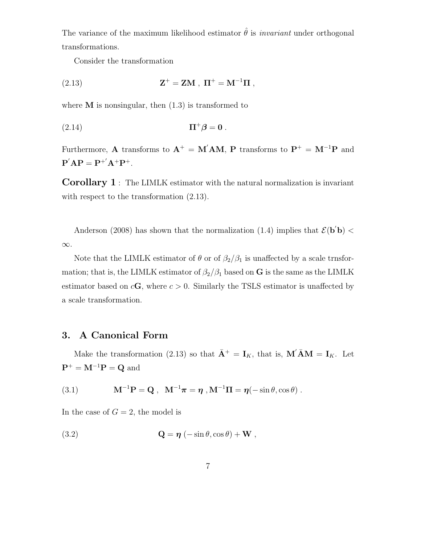The variance of the maximum likelihood estimator  $\hat{\theta}$  is *invariant* under orthogonal transformations.

Consider the transformation

(2.13) 
$$
Z^{+} = ZM , \Pi^{+} = M^{-1}\Pi ,
$$

where  $M$  is nonsingular, then  $(1.3)$  is transformed to

$$
(2.14) \t\t \t\t \mathbf{\Pi}^+\boldsymbol{\beta}=\mathbf{0}.
$$

Furthermore, **A** transforms to  $A^+ = M'AM$ , **P** transforms to  $P^+ = M^{-1}P$  and  $P'AP = P^{+'}A^{+}P^{+}.$ 

**Corollary 1** : The LIMLK estimator with the natural normalization is invariant with respect to the transformation  $(2.13)$ .

Anderson (2008) has shown that the normalization (1.4) implies that  $\mathcal{E}(\mathbf{b}'\mathbf{b})$  < ∞.

Note that the LIMLK estimator of  $\theta$  or of  $\beta_2/\beta_1$  is unaffected by a scale trnsformation; that is, the LIMLK estimator of  $\beta_2/\beta_1$  based on **G** is the same as the LIMLK estimator based on  $c\mathbf{G}$ , where  $c > 0$ . Similarly the TSLS estimator is unaffected by a scale transformation.

### **3. A Canonical Form**

Make the transformation (2.13) so that  $\bar{\mathbf{A}}^+ = \mathbf{I}_K$ , that is,  $\mathbf{M}' \bar{\mathbf{A}} \mathbf{M} = \mathbf{I}_K$ . Let  $\mathbf{P}^+ = \mathbf{M}^{-1} \mathbf{P} = \mathbf{Q}$  and

(3.1) 
$$
M^{-1}P = Q, \quad M^{-1}\pi = \eta, M^{-1}\Pi = \eta(-\sin\theta, \cos\theta).
$$

In the case of  $G = 2$ , the model is

(3.2) 
$$
\mathbf{Q} = \boldsymbol{\eta} \left( -\sin \theta, \cos \theta \right) + \mathbf{W} ,
$$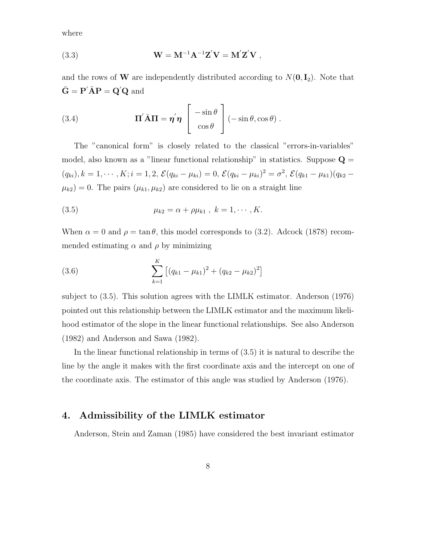where

(3.3) 
$$
\mathbf{W} = \mathbf{M}^{-1} \mathbf{A}^{-1} \mathbf{Z}' \mathbf{V} = \mathbf{M}' \mathbf{Z}' \mathbf{V} ,
$$

and the rows of **W** are independently distributed according to  $N(\mathbf{0}, \mathbf{I}_2)$ . Note that  $\bar{\mathbf{G}} = \mathbf{P}' \bar{\mathbf{A}} \mathbf{P} = \mathbf{Q}' \mathbf{Q}$  and

(3.4) 
$$
\mathbf{\Pi}' \bar{\mathbf{A}} \mathbf{\Pi} = \mathbf{\eta}' \mathbf{\eta} \begin{bmatrix} -\sin \theta \\ \cos \theta \end{bmatrix} (-\sin \theta, \cos \theta).
$$

The "canonical form" is closely related to the classical "errors-in-variables" model, also known as a "linear functional relationship" in statistics. Suppose  $Q =$  $(q_{ki}), k = 1, \cdots, K; i = 1, 2, \mathcal{E}(q_{ki} - \mu_{ki}) = 0, \mathcal{E}(q_{ki} - \mu_{ki})^2 = \sigma^2, \mathcal{E}(q_{k1} - \mu_{k1})(q_{k2} - \mu_{k1})$  $\mu_{k2}$ ) = 0. The pairs  $(\mu_{k1}, \mu_{k2})$  are considered to lie on a straight line

(3.5) 
$$
\mu_{k2} = \alpha + \rho \mu_{k1} , k = 1, \cdots, K.
$$

When  $\alpha = 0$  and  $\rho = \tan \theta$ , this model corresponds to (3.2). Adcock (1878) recommended estimating  $\alpha$  and  $\rho$  by minimizing

(3.6) 
$$
\sum_{k=1}^{K} [(q_{k1} - \mu_{k1})^2 + (q_{k2} - \mu_{k2})^2]
$$

subject to (3.5). This solution agrees with the LIMLK estimator. Anderson (1976) pointed out this relationship between the LIMLK estimator and the maximum likelihood estimator of the slope in the linear functional relationships. See also Anderson (1982) and Anderson and Sawa (1982).

In the linear functional relationship in terms of (3.5) it is natural to describe the line by the angle it makes with the first coordinate axis and the intercept on one of the coordinate axis. The estimator of this angle was studied by Anderson (1976).

## **4. Admissibility of the LIMLK estimator**

Anderson, Stein and Zaman (1985) have considered the best invariant estimator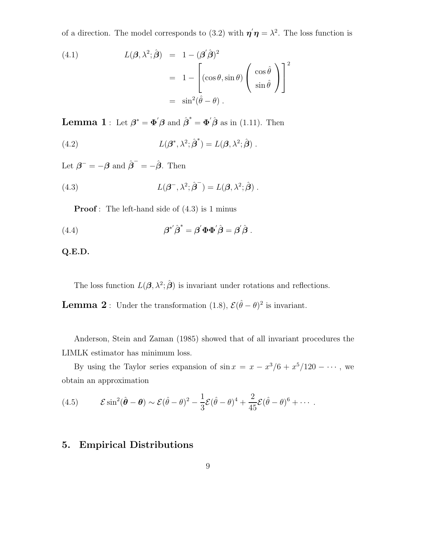of a direction. The model corresponds to (3.2) with  $\eta' \eta = \lambda^2$ . The loss function is

(4.1)  
\n
$$
L(\boldsymbol{\beta}, \lambda^2; \hat{\boldsymbol{\beta}}) = 1 - (\boldsymbol{\beta}' \hat{\boldsymbol{\beta}})^2
$$
\n
$$
= 1 - \left[ (\cos \theta, \sin \theta) \left( \begin{array}{c} \cos \hat{\theta} \\ \sin \hat{\theta} \end{array} \right) \right]^2
$$
\n
$$
= \sin^2(\hat{\theta} - \theta).
$$

**Lemma 1**: Let  $\boldsymbol{\beta}^* = \boldsymbol{\Phi}' \boldsymbol{\beta}$  and  $\hat{\boldsymbol{\beta}}^* = \boldsymbol{\Phi}' \hat{\boldsymbol{\beta}}$  as in (1.11). Then

(4.2) 
$$
L(\boldsymbol{\beta}^*, \lambda^2; \hat{\boldsymbol{\beta}}^*) = L(\boldsymbol{\beta}, \lambda^2; \hat{\boldsymbol{\beta}}).
$$

Let  $\boldsymbol{\beta}^- = -\boldsymbol{\beta}$  and  $\hat{\boldsymbol{\beta}}^- = -\hat{\boldsymbol{\beta}}$ . Then

(4.3) 
$$
L(\boldsymbol{\beta}^{-}, \lambda^{2}; \hat{\boldsymbol{\beta}}^{-}) = L(\boldsymbol{\beta}, \lambda^{2}; \hat{\boldsymbol{\beta}}).
$$

**Proof**: The left-hand side of  $(4.3)$  is 1 minus

(4.4) 
$$
\beta^{*'}\hat{\beta}^{*} = \beta'\Phi\Phi'\hat{\beta} = \beta'\hat{\beta}.
$$

#### **Q.E.D.**

The loss function  $L(\boldsymbol{\beta}, \lambda^2; \hat{\boldsymbol{\beta}})$  is invariant under rotations and reflections.

**Lemma 2** : Under the transformation (1.8),  $\mathcal{E}(\hat{\theta} - \theta)^2$  is invariant.

Anderson, Stein and Zaman (1985) showed that of all invariant procedures the LIMLK estimator has minimum loss.

By using the Taylor series expansion of  $\sin x = x - x^3/6 + x^5/120 - \cdots$ , we obtain an approximation

(4.5) 
$$
\mathcal{E}\sin^2(\hat{\boldsymbol{\theta}}-\boldsymbol{\theta}) \sim \mathcal{E}(\hat{\theta}-\theta)^2 - \frac{1}{3}\mathcal{E}(\hat{\theta}-\theta)^4 + \frac{2}{45}\mathcal{E}(\hat{\theta}-\theta)^6 + \cdots
$$

## **5. Empirical Distributions**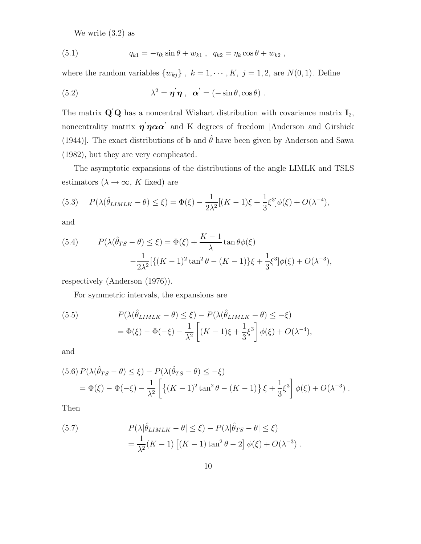We write  $(3.2)$  as

(5.1) 
$$
q_{k1} = -\eta_k \sin \theta + w_{k1} , \quad q_{k2} = \eta_k \cos \theta + w_{k2} ,
$$

where the random variables  $\{w_{kj}\}, k = 1, \cdots, K, j = 1, 2$ , are  $N(0, 1)$ . Define

(5.2) 
$$
\lambda^2 = \eta' \eta \ , \ \alpha' = (-\sin \theta, \cos \theta) \ .
$$

The matrix  $\mathbf{Q}'\mathbf{Q}$  has a noncentral Wishart distribution with covariance matrix  $\mathbf{I}_2$ , noncentrality matrix  $\eta' \eta \alpha \alpha'$  and K degrees of freedom [Anderson and Girshick (1944)]. The exact distributions of **b** and  $\hat{\theta}$  have been given by Anderson and Sawa (1982), but they are very complicated.

The asymptotic expansions of the distributions of the angle LIMLK and TSLS estimators ( $\lambda \to \infty$ , K fixed) are

(5.3) 
$$
P(\lambda(\hat{\theta}_{LIMLK} - \theta) \le \xi) = \Phi(\xi) - \frac{1}{2\lambda^2} [(K - 1)\xi + \frac{1}{3}\xi^3] \phi(\xi) + O(\lambda^{-4}),
$$

and

(5.4) 
$$
P(\lambda(\hat{\theta}_{TS} - \theta) \le \xi) = \Phi(\xi) + \frac{K - 1}{\lambda} \tan \theta \phi(\xi)
$$

$$
-\frac{1}{2\lambda^2} [\{(K - 1)^2 \tan^2 \theta - (K - 1)\} \xi + \frac{1}{3} \xi^3] \phi(\xi) + O(\lambda^{-3}),
$$

respectively (Anderson (1976)).

For symmetric intervals, the expansions are

(5.5) 
$$
P(\lambda(\hat{\theta}_{LIMLK} - \theta) \leq \xi) - P(\lambda(\hat{\theta}_{LIMLK} - \theta) \leq -\xi)
$$

$$
= \Phi(\xi) - \Phi(-\xi) - \frac{1}{\lambda^2} \left[ (K - 1)\xi + \frac{1}{3}\xi^3 \right] \phi(\xi) + O(\lambda^{-4}),
$$

and

$$
(5.6) P(\lambda(\hat{\theta}_{TS} - \theta) \le \xi) - P(\lambda(\hat{\theta}_{TS} - \theta) \le -\xi)
$$
  
=  $\Phi(\xi) - \Phi(-\xi) - \frac{1}{\lambda^2} \left[ \left\{ (K-1)^2 \tan^2 \theta - (K-1) \right\} \xi + \frac{1}{3} \xi^3 \right] \phi(\xi) + O(\lambda^{-3}).$ 

Then

(5.7) 
$$
P(\lambda | \hat{\theta}_{LIMLK} - \theta| \leq \xi) - P(\lambda | \hat{\theta}_{TS} - \theta| \leq \xi)
$$

$$
= \frac{1}{\lambda^2} (K - 1) \left[ (K - 1) \tan^2 \theta - 2 \right] \phi(\xi) + O(\lambda^{-3}).
$$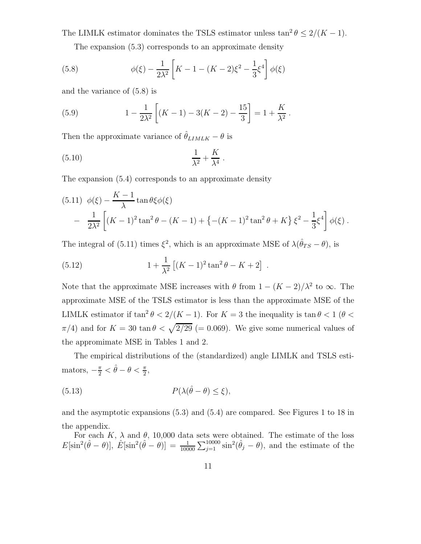The LIMLK estimator dominates the TSLS estimator unless  $\tan^2 \theta \leq 2/(K-1)$ .

The expansion (5.3) corresponds to an approximate density

(5.8) 
$$
\phi(\xi) - \frac{1}{2\lambda^2} \left[ K - 1 - (K - 2)\xi^2 - \frac{1}{3}\xi^4 \right] \phi(\xi)
$$

and the variance of (5.8) is

(5.9) 
$$
1 - \frac{1}{2\lambda^2} \left[ (K - 1) - 3(K - 2) - \frac{15}{3} \right] = 1 + \frac{K}{\lambda^2}.
$$

Then the approximate variance of  $\hat{\theta}_{LIMLK} - \theta$  is

$$
\frac{1}{\lambda^2} + \frac{K}{\lambda^4} \ .
$$

The expansion (5.4) corresponds to an approximate density

$$
(5.11) \ \ \phi(\xi) - \frac{K-1}{\lambda} \tan \theta \xi \phi(\xi)
$$
  
- 
$$
\frac{1}{2\lambda^2} \left[ (K-1)^2 \tan^2 \theta - (K-1) + \{ -(K-1)^2 \tan^2 \theta + K \} \xi^2 - \frac{1}{3} \xi^4 \right] \phi(\xi).
$$

The integral of (5.11) times  $\xi^2$ , which is an approximate MSE of  $\lambda(\hat{\theta}_{TS} - \theta)$ , is

(5.12) 
$$
1 + \frac{1}{\lambda^2} \left[ (K-1)^2 \tan^2 \theta - K + 2 \right] .
$$

Note that the approximate MSE increases with  $\theta$  from  $1 - (K - 2)/\lambda^2$  to  $\infty$ . The approximate MSE of the TSLS estimator is less than the approximate MSE of the LIMLK estimator if  $\tan^2 \theta < 2/(K-1)$ . For  $K = 3$  the inequality is  $\tan \theta < 1$  ( $\theta <$  $\pi/4$ ) and for  $K = 30 \tan \theta < \sqrt{2/29}$  (= 0.069). We give some numerical values of the appromimate MSE in Tables 1 and 2.

The empirical distributions of the (standardized) angle LIMLK and TSLS estimators,  $-\frac{\pi}{2} < \hat{\theta} - \theta < \frac{\pi}{2}$ ,

(5.13) 
$$
P(\lambda(\hat{\theta}-\theta)\leq\xi),
$$

and the asymptotic expansions (5.3) and (5.4) are compared. See Figures 1 to 18 in the appendix.

For each K,  $\lambda$  and  $\theta$ , 10,000 data sets were obtained. The estimate of the loss  $E[\sin^2(\hat{\theta}-\theta)], \ \hat{E}[\sin^2(\hat{\theta}-\theta)] = \frac{1}{10000} \sum_{j=1}^{10000} \sin^2(\hat{\theta}_j-\theta)$ , and the estimate of the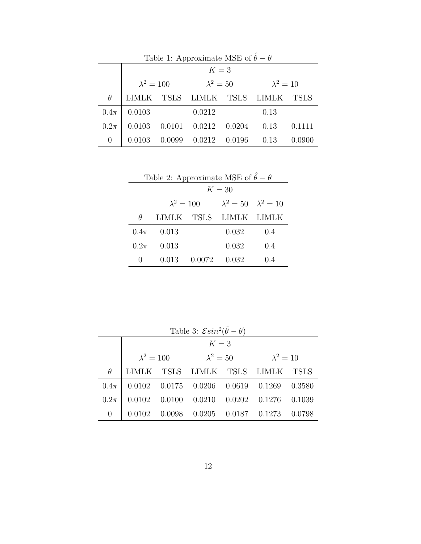| Table 1: Approximate MSE of $\hat{\theta} - \theta$ |              |                                                        |                                                |  |      |             |  |  |  |
|-----------------------------------------------------|--------------|--------------------------------------------------------|------------------------------------------------|--|------|-------------|--|--|--|
|                                                     |              | $K=3$                                                  |                                                |  |      |             |  |  |  |
|                                                     |              | $\lambda^2 = 100$ $\lambda^2 = 50$<br>$\lambda^2 = 10$ |                                                |  |      |             |  |  |  |
| $\theta$                                            | <b>LIMLK</b> |                                                        | TSLS LIMLK TSLS LIMLK                          |  |      | <b>TSLS</b> |  |  |  |
| $0.4\pi$                                            | 0.0103       |                                                        | 0.0212                                         |  | 0.13 |             |  |  |  |
| $0.2\pi$                                            | 0.0103       |                                                        | $0.0101$ $0.0212$ $0.0204$ $0.13$              |  |      | 0.1111      |  |  |  |
| 0                                                   | 0.0103       |                                                        | $0.0099 \quad 0.0212 \quad 0.0196 \qquad 0.13$ |  |      |             |  |  |  |

|  | Table 2: Approximate MSE of $\hat{\theta} - \theta$ |
|--|-----------------------------------------------------|
|  |                                                     |
|  |                                                     |

|                  | $K=30$            |        |                                       |       |  |  |  |
|------------------|-------------------|--------|---------------------------------------|-------|--|--|--|
|                  | $\lambda^2 = 100$ |        | $\lambda^2 = 50 \quad \lambda^2 = 10$ |       |  |  |  |
| θ                |                   |        | LIMLK TSLS LIMLK LIMLK                |       |  |  |  |
| $0.4\pi$         | 0.013             |        | 0.032                                 | 0.4   |  |  |  |
| $0.2\pi$         | 0.013             |        | 0.032                                 | 0.4   |  |  |  |
| $\left( \right)$ | 0.013             | 0.0072 | 0.032                                 | (1.4) |  |  |  |

| Table 3: $\mathcal{E} \sin^2(\hat{\theta} - \theta)$ |                                                             |        |                                                       |  |  |  |  |  |  |
|------------------------------------------------------|-------------------------------------------------------------|--------|-------------------------------------------------------|--|--|--|--|--|--|
|                                                      | $K=3$                                                       |        |                                                       |  |  |  |  |  |  |
|                                                      | $\lambda^2 = 100 \qquad \lambda^2 = 50$<br>$\lambda^2 = 10$ |        |                                                       |  |  |  |  |  |  |
| $\theta$                                             |                                                             |        | LIMLK TSLS LIMLK TSLS LIMLK TSLS                      |  |  |  |  |  |  |
| $0.4\pi$                                             |                                                             |        | $0.0102$ $0.0175$ $0.0206$ $0.0619$ $0.1269$ $0.3580$ |  |  |  |  |  |  |
| $0.2\pi$                                             | 0.0102                                                      |        | $0.0100$ $0.0210$ $0.0202$ $0.1276$ $0.1039$          |  |  |  |  |  |  |
| $\overline{0}$                                       |                                                             | 0.0098 | $0.0205$ $0.0187$ $0.1273$ $0.0798$                   |  |  |  |  |  |  |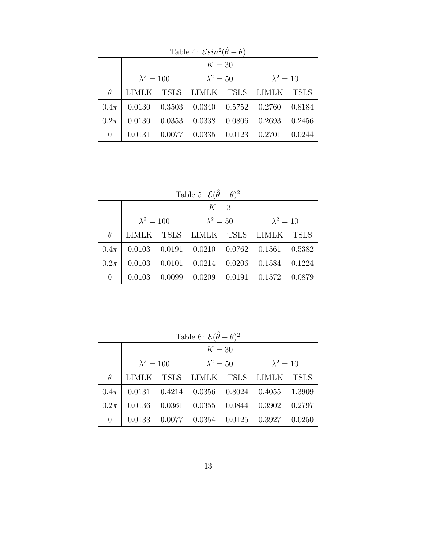| Table 4: $\mathcal{E} \sin^2(\hat{\theta} - \theta)$ |        |                                                                    |                                                |  |  |             |  |  |  |
|------------------------------------------------------|--------|--------------------------------------------------------------------|------------------------------------------------|--|--|-------------|--|--|--|
|                                                      |        | $K=30$                                                             |                                                |  |  |             |  |  |  |
|                                                      |        | $\lambda^2 = 100 \qquad \qquad \lambda^2 = 50$<br>$\lambda^2 = 10$ |                                                |  |  |             |  |  |  |
| $\theta$                                             | LIMLK  |                                                                    | TSLS LIMLK TSLS LIMLK                          |  |  | <b>TSLS</b> |  |  |  |
| $0.4\pi$                                             |        |                                                                    | 0.0130  0.3503  0.0340  0.5752  0.2760  0.8184 |  |  |             |  |  |  |
| $0.2\pi$                                             | 0.0130 |                                                                    | $0.0353$ $0.0338$ $0.0806$ $0.2693$ $0.2456$   |  |  |             |  |  |  |
| $\theta$                                             | 0.0131 |                                                                    | $0.0077$ $0.0335$ $0.0123$ $0.2701$            |  |  | 0.0244      |  |  |  |

| Table 5: $\mathcal{E}(\hat{\theta} - \theta)^2$ |                                                     |        |  |  |                                                                           |        |  |  |  |
|-------------------------------------------------|-----------------------------------------------------|--------|--|--|---------------------------------------------------------------------------|--------|--|--|--|
|                                                 | $K=3$                                               |        |  |  |                                                                           |        |  |  |  |
|                                                 | $\lambda^2 = 100$ $\lambda^2 = 50$ $\lambda^2 = 10$ |        |  |  |                                                                           |        |  |  |  |
| $\theta$                                        | LIMLK                                               |        |  |  | TSLS LIMLK TSLS LIMLK TSLS                                                |        |  |  |  |
| $0.4\pi$                                        |                                                     |        |  |  | $0.0103 \quad 0.0191 \quad 0.0210 \quad 0.0762 \quad 0.1561 \quad 0.5382$ |        |  |  |  |
| $0.2\pi$                                        | 0.0103                                              |        |  |  | $0.0101$ $0.0214$ $0.0206$ $0.1584$ $0.1224$                              |        |  |  |  |
| $\theta$                                        |                                                     | 0.0099 |  |  | $0.0209$ $0.0191$ $0.1572$                                                | 0.0879 |  |  |  |

Table 6:  $\mathcal{E}(\hat{\theta} - \theta)^2$ 

|          | $K=30$ |  |                                                |  |                                                                           |  |  |
|----------|--------|--|------------------------------------------------|--|---------------------------------------------------------------------------|--|--|
|          |        |  | $\lambda^2 = 100 \qquad \qquad \lambda^2 = 50$ |  | $\lambda^2 = 10$                                                          |  |  |
| $\theta$ |        |  |                                                |  | LIMLK TSLS LIMLK TSLS LIMLK TSLS                                          |  |  |
| $0.4\pi$ |        |  |                                                |  | $\vert$ 0.0131 0.4214 0.0356 0.8024 0.4055 1.3909                         |  |  |
| $0.2\pi$ |        |  |                                                |  | $0.0136$ $0.0361$ $0.0355$ $0.0844$ $0.3902$ $0.2797$                     |  |  |
| 0        |        |  |                                                |  | $0.0133 \quad 0.0077 \quad 0.0354 \quad 0.0125 \quad 0.3927 \quad 0.0250$ |  |  |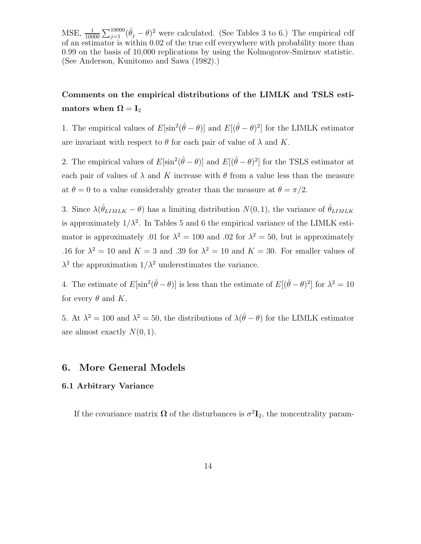MSE,  $\frac{1}{10000} \sum_{j=1}^{10000} (\hat{\theta}_j - \theta)^2$  were calculated. (See Tables 3 to 6.) The empirical cdf of an estimator is within 0.02 of the true cdf everywhere with probability more than 0.99 on the basis of 10,000 replications by using the Kolmogorov-Smirnov statistic. (See Anderson, Kunitomo and Sawa (1982).)

# **Comments on the empirical distributions of the LIMLK and TSLS estimators** when  $\Omega = I_2$

1. The empirical values of  $E[\sin^2(\hat{\theta} - \theta)]$  and  $E[(\hat{\theta} - \theta)^2]$  for the LIMLK estimator are invariant with respect to  $\theta$  for each pair of value of  $\lambda$  and K.

2. The empirical values of  $E[\sin^2(\hat{\theta}-\theta)]$  and  $E[(\hat{\theta}-\theta)^2]$  for the TSLS estimator at each pair of values of  $\lambda$  and K increase with  $\theta$  from a value less than the measure at  $\theta = 0$  to a value considerably greater than the measure at  $\theta = \pi/2$ .

3. Since  $\lambda(\hat{\theta}_{LIMLK} - \theta)$  has a limiting distribution  $N(0, 1)$ , the variance of  $\hat{\theta}_{LIMLK}$ is approximately  $1/\lambda^2$ . In Tables 5 and 6 the empirical variance of the LIMLK estimator is approximately .01 for  $\lambda^2 = 100$  and .02 for  $\lambda^2 = 50$ , but is approximately .16 for  $\lambda^2 = 10$  and  $K = 3$  and .39 for  $\lambda^2 = 10$  and  $K = 30$ . For smaller values of  $\lambda^2$  the approximation  $1/\lambda^2$  underestimates the variance.

4. The estimate of  $E[\sin^2(\hat{\theta}-\theta)]$  is less than the estimate of  $E[(\hat{\theta}-\theta)^2]$  for  $\lambda^2=10$ for every  $\theta$  and K.

5. At  $\lambda^2 = 100$  and  $\lambda^2 = 50$ , the distributions of  $\lambda(\hat{\theta} - \theta)$  for the LIMLK estimator are almost exactly  $N(0, 1)$ .

#### **6. More General Models**

#### **6.1 Arbitrary Variance**

If the covariance matrix  $\Omega$  of the disturbances is  $\sigma^2 \mathbf{I}_2$ , the noncentrality param-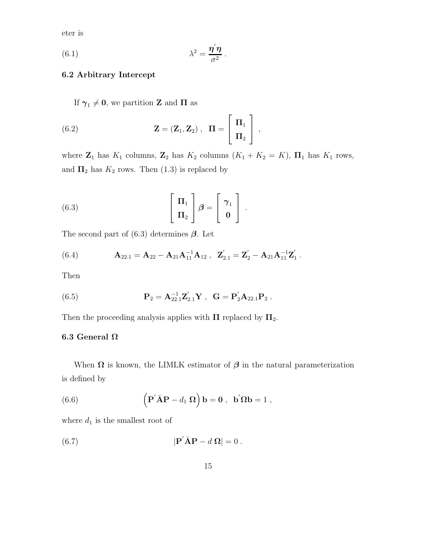eter is

(6.1) 
$$
\lambda^2 = \frac{\eta' \eta}{\sigma^2}.
$$

#### **6.2 Arbitrary Intercept**

If  $\gamma_1 \neq 0$ , we partition **Z** and **Π** as

(6.2) 
$$
\mathbf{Z} = (\mathbf{Z}_1, \mathbf{Z}_2) , \quad \mathbf{\Pi} = \begin{bmatrix} \mathbf{\Pi}_1 \\ \mathbf{\Pi}_2 \end{bmatrix} ,
$$

where  $\mathbf{Z}_1$  has  $K_1$  columns,  $\mathbf{Z}_2$  has  $K_2$  columns  $(K_1 + K_2 = K)$ ,  $\mathbf{\Pi}_1$  has  $K_1$  rows, and  $\Pi_2$  has  $K_2$  rows. Then (1.3) is replaced by

(6.3) 
$$
\begin{bmatrix} \Pi_1 \\ \Pi_2 \end{bmatrix} \boldsymbol{\beta} = \begin{bmatrix} \gamma_1 \\ \mathbf{0} \end{bmatrix}.
$$

The second part of (6.3) determines *β*. Let

(6.4) 
$$
\mathbf{A}_{22.1} = \mathbf{A}_{22} - \mathbf{A}_{21} \mathbf{A}_{11}^{-1} \mathbf{A}_{12} , \quad \mathbf{Z}_{2.1}' = \mathbf{Z}_{2}' - \mathbf{A}_{21} \mathbf{A}_{11}^{-1} \mathbf{Z}_{1}'.
$$

Then

(6.5) 
$$
\mathbf{P}_2 = \mathbf{A}_{22.1}^{-1} \mathbf{Z}_{2.1}' \mathbf{Y} , \ \mathbf{G} = \mathbf{P}_2' \mathbf{A}_{22.1} \mathbf{P}_2 .
$$

Then the proceeding analysis applies with **Π** replaced by  $\Pi_2$ .

#### **6.3 General Ω**

When  $\Omega$  is known, the LIMLK estimator of  $\beta$  in the natural parameterization is defined by

(6.6) 
$$
\left(\mathbf{P}'\bar{\mathbf{A}}\mathbf{P} - d_1 \mathbf{\Omega}\right)\mathbf{b} = \mathbf{0}, \ \mathbf{b}'\mathbf{\Omega}\mathbf{b} = 1,
$$

where  $d_1$  is the smallest root of

(6.7) 
$$
|\mathbf{P}'\bar{\mathbf{A}}\mathbf{P} - d\,\mathbf{\Omega}| = 0.
$$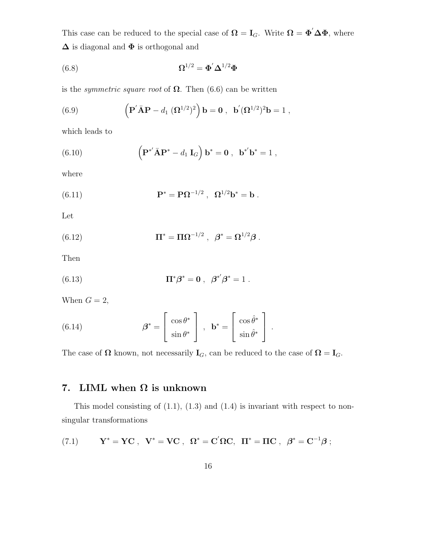This case can be reduced to the special case of  $\Omega = I_G$ . Write  $\Omega = \Phi' \Delta \Phi$ , where **Δ** is diagonal and **Φ** is orthogonal and

(6.8) 
$$
\Omega^{1/2} = \Phi' \Delta^{1/2} \Phi
$$

is the *symmetric square root* of  $\Omega$ . Then (6.6) can be written

(6.9) 
$$
\left( \mathbf{P}' \mathbf{\bar{A}} \mathbf{P} - d_1 \left( \mathbf{\Omega}^{1/2} \right)^2 \right) \mathbf{b} = \mathbf{0} , \ \mathbf{b}' (\mathbf{\Omega}^{1/2})^2 \mathbf{b} = 1 ,
$$

which leads to

(6.10) 
$$
\left( \mathbf{P}^{*} \bar{\mathbf{A}} \mathbf{P}^{*} - d_{1} \mathbf{I}_{G} \right) \mathbf{b}^{*} = \mathbf{0} , \ \mathbf{b}^{*} \mathbf{b}^{*} = 1 ,
$$

where

(6.11) 
$$
P^* = P\Omega^{-1/2}, \ \Omega^{1/2}b^* = b.
$$

Let

(6.12) 
$$
\Pi^* = \Pi \Omega^{-1/2} , \ \beta^* = \Omega^{1/2} \beta .
$$

Then

(6.13) 
$$
\Pi^* \beta^* = 0 , \ \beta^{*'} \beta^* = 1 .
$$

When  $G = 2$ ,

(6.14) 
$$
\boldsymbol{\beta}^* = \begin{bmatrix} \cos \theta^* \\ \sin \theta^* \end{bmatrix}, \quad \mathbf{b}^* = \begin{bmatrix} \cos \hat{\theta}^* \\ \sin \hat{\theta}^* \end{bmatrix}.
$$

The case of  $\Omega$  known, not necessarily  $\mathbf{I}_G$ , can be reduced to the case of  $\Omega = \mathbf{I}_G$ .

# **7. LIML when Ω is unknown**

This model consisting of  $(1.1)$ ,  $(1.3)$  and  $(1.4)$  is invariant with respect to nonsingular transformations

(7.1) 
$$
Y^* = YC
$$
,  $V^* = VC$ ,  $\Omega^* = C'\Omega C$ ,  $\Pi^* = \Pi C$ ,  $\beta^* = C^{-1}\beta$ ;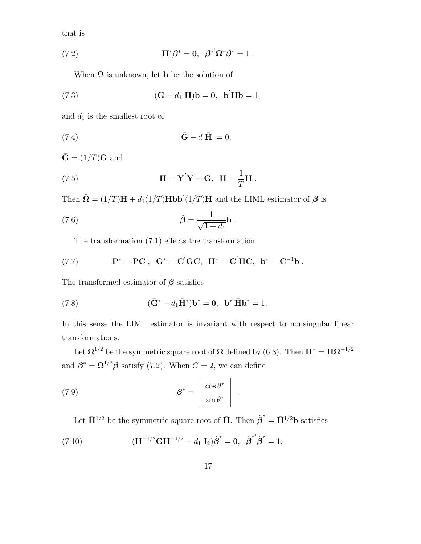that is

(7.2) 
$$
\Pi^*\beta^* = 0, \ \beta^{*'}\Omega^*\beta^* = 1.
$$

When  $\Omega$  is unknown, let **b** be the solution of

(7.3) 
$$
(\mathbf{\bar{G}} - d_1 \mathbf{\bar{H}})\mathbf{b} = \mathbf{0}, \mathbf{b}'\mathbf{\bar{H}}\mathbf{b} = 1,
$$

and  $d_1$  is the smallest root of

$$
|\bar{\mathbf{G}} - d\bar{\mathbf{H}}| = 0,
$$

 $\bar{\mathbf{G}} = (1/T)\mathbf{G}$  and

(7.5) 
$$
\mathbf{H} = \mathbf{Y}'\mathbf{Y} - \mathbf{G}, \quad \bar{\mathbf{H}} = \frac{1}{T}\mathbf{H}.
$$

Then  $\hat{\Omega} = (1/T)H + d_1(1/T)Hbb'(1/T)H$  and the LIML estimator of  $\beta$  is

(7.6) 
$$
\hat{\boldsymbol{\beta}} = \frac{1}{\sqrt{1+d_1}} \mathbf{b} .
$$

The transformation (7.1) effects the transformation

(7.7) 
$$
P^* = PC
$$
,  $G^* = C'GC$ ,  $H^* = C'HC$ ,  $b^* = C^{-1}b$ .

The transformed estimator of *β* satisfies

(7.8) 
$$
(\bar{G}^* - d_1 \bar{H}^*) \mathbf{b}^* = \mathbf{0}, \ \mathbf{b}^{*'} \bar{H} \mathbf{b}^* = 1,
$$

In this sense the LIML estimator is invariant with respect to nonsingular linear transformations.

Let  $\Omega^{1/2}$  be the symmetric square root of  $\Omega$  defined by (6.8). Then  $\Pi^* = \Pi \Omega^{-1/2}$ and  $\boldsymbol{\beta}^* = \boldsymbol{\Omega}^{1/2} \boldsymbol{\beta}$  satisfy (7.2). When  $G = 2$ , we can define

(7.9) 
$$
\boldsymbol{\beta}^* = \begin{bmatrix} \cos \theta^* \\ \sin \theta^* \end{bmatrix}.
$$

Let  $\bar{H}^{1/2}$  be the symmetric square root of  $\bar{H}$ . Then  $\hat{\beta}^* = \bar{H}^{1/2}b$  satisfies

(7.10) 
$$
(\bar{\mathbf{H}}^{-1/2}\bar{\mathbf{G}}\bar{\mathbf{H}}^{-1/2} - d_1 \mathbf{I}_2)\hat{\boldsymbol{\beta}}^* = \mathbf{0}, \ \hat{\boldsymbol{\beta}}^{*'}\hat{\boldsymbol{\beta}}^* = 1,
$$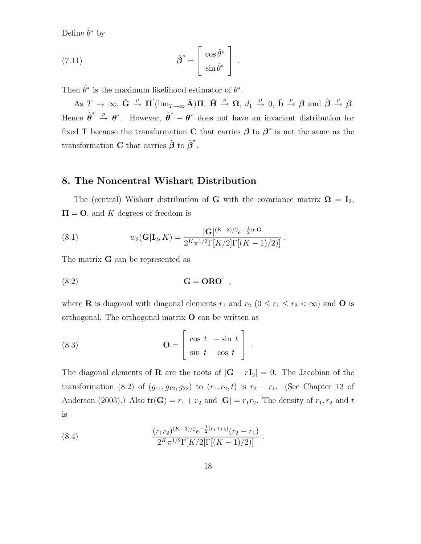Define  $\hat{\theta}^*$  by

(7.11) 
$$
\hat{\boldsymbol{\beta}}^* = \begin{bmatrix} \cos \hat{\theta}^* \\ \sin \hat{\theta}^* \end{bmatrix}.
$$

Then  $\hat{\theta}^*$  is the maximum likelihood estimator of  $\theta^*$ .

 $\overline{AB}$   $T \rightarrow \infty$ ,  $\overline{G} \stackrel{p}{\rightarrow} \Pi'(\lim_{T \to \infty} \overline{A})\Pi$ ,  $\overline{H} \stackrel{p}{\rightarrow} \Omega$ ,  $d_1 \stackrel{p}{\rightarrow} 0$ ,  $\overline{b} \stackrel{p}{\rightarrow} \beta$  and  $\hat{\beta} \stackrel{p}{\rightarrow} \beta$ . Hence  $\hat{\theta}^* \stackrel{p}{\rightarrow} \theta^*$ . However,  $\hat{\theta}^* - \theta^*$  does not have an invariant distribution for fixed T because the transformation **C** that carries  $\beta$  to  $\beta^*$  is not the same as the transformation **C** that carries  $\hat{\boldsymbol{\beta}}$  to  $\hat{\boldsymbol{\beta}}^*$ .

# **8. The Noncentral Wishart Distribution**

The (central) Wishart distribution of **G** with the covariance matrix  $\mathbf{\Omega} = \mathbf{I}_2$ ,  $\Pi = \mathbf{O}$ , and K degrees of freedom is

(8.1) 
$$
w_2(\mathbf{G}|\mathbf{I}_2, K) = \frac{|\mathbf{G}|^{(K-3)/2}e^{-\frac{1}{2}\text{tr}\,\mathbf{G}}}{2^K \pi^{1/2} \Gamma[K/2] \Gamma[(K-1)/2)]}.
$$

The matrix **G** can be represented as

**G** = **ORO**-(8.2) ,

where **R** is diagonal with diagonal elements  $r_1$  and  $r_2$  ( $0 \le r_1 \le r_2 < \infty$ ) and **O** is orthogonal. The orthogonal matrix **O** can be written as

(8.3) 
$$
\mathbf{O} = \begin{bmatrix} \cos t & -\sin t \\ \sin t & \cos t \end{bmatrix}.
$$

The diagonal elements of **R** are the roots of  $|\mathbf{G} - r\mathbf{I}_2| = 0$ . The Jacobian of the transformation (8.2) of  $(g_{11}, g_{12}, g_{22})$  to  $(r_1, r_2, t)$  is  $r_2 - r_1$ . (See Chapter 13 of Anderson (2003).) Also  $tr(G) = r_1 + r_2$  and  $|G| = r_1r_2$ . The density of  $r_1, r_2$  and t is

(8.4) 
$$
\frac{(r_1r_2)^{(K-3)/2}e^{-\frac{1}{2}(r_1+r_2)}(r_2-r_1)}{2^K\pi^{1/2}\Gamma[K/2]\Gamma[(K-1)/2)]}.
$$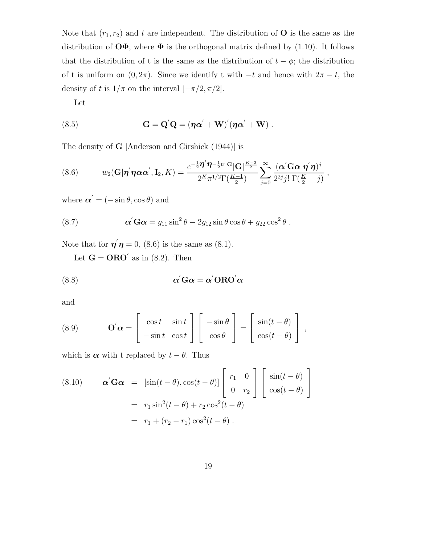Note that  $(r_1, r_2)$  and t are independent. The distribution of **O** is the same as the distribution of  $\mathbf{O}\Phi$ , where  $\Phi$  is the orthogonal matrix defined by (1.10). It follows that the distribution of t is the same as the distribution of  $t - \phi$ ; the distribution of t is uniform on  $(0, 2\pi)$ . Since we identify t with  $-t$  and hence with  $2\pi - t$ , the density of t is  $1/\pi$  on the interval  $[-\pi/2, \pi/2]$ .

Let

(8.5) 
$$
\mathbf{G} = \mathbf{Q}'\mathbf{Q} = (\eta \alpha' + \mathbf{W})'(\eta \alpha' + \mathbf{W}) .
$$

The density of **G** [Anderson and Girshick (1944)] is

(8.6) 
$$
w_2(\mathbf{G}|\boldsymbol{\eta}'\boldsymbol{\eta}\boldsymbol{\alpha}\boldsymbol{\alpha}',\mathbf{I}_2,K)=\frac{e^{-\frac{1}{2}\boldsymbol{\eta}'\boldsymbol{\eta}-\frac{1}{2}\mathrm{tr}\,\mathbf{G}}|\mathbf{G}|^{\frac{K-3}{2}}}{2^K\pi^{1/2}\Gamma(\frac{K-1}{2})}\sum_{j=0}^{\infty}\frac{(\boldsymbol{\alpha}'\mathbf{G}\boldsymbol{\alpha}\,\boldsymbol{\eta}'\boldsymbol{\eta})^j}{2^{2j}j!\,\Gamma(\frac{K}{2}+j)},
$$

where  $\boldsymbol{\alpha}' = (-\sin \theta, \cos \theta)$  and

(8.7) 
$$
\alpha' \mathbf{G} \alpha = g_{11} \sin^2 \theta - 2g_{12} \sin \theta \cos \theta + g_{22} \cos^2 \theta.
$$

Note that for  $\eta' \eta = 0$ , (8.6) is the same as (8.1).

Let  $\mathbf{G} = \mathbf{ORO}^{\prime}$  as in (8.2). Then

(8.8) 
$$
\alpha' G \alpha = \alpha' O R O' \alpha
$$

and

(8.9) 
$$
\mathbf{O}'\mathbf{\alpha} = \begin{bmatrix} \cos t & \sin t \\ -\sin t & \cos t \end{bmatrix} \begin{bmatrix} -\sin \theta \\ \cos \theta \end{bmatrix} = \begin{bmatrix} \sin(t-\theta) \\ \cos(t-\theta) \end{bmatrix},
$$

which is  $\alpha$  with t replaced by  $t - \theta$ . Thus

(8.10) 
$$
\boldsymbol{\alpha}' \mathbf{G} \boldsymbol{\alpha} = [\sin(t - \theta), \cos(t - \theta)] \begin{bmatrix} r_1 & 0 \\ 0 & r_2 \end{bmatrix} \begin{bmatrix} \sin(t - \theta) \\ \cos(t - \theta) \end{bmatrix}
$$

$$
= r_1 \sin^2(t - \theta) + r_2 \cos^2(t - \theta)
$$

$$
= r_1 + (r_2 - r_1) \cos^2(t - \theta).
$$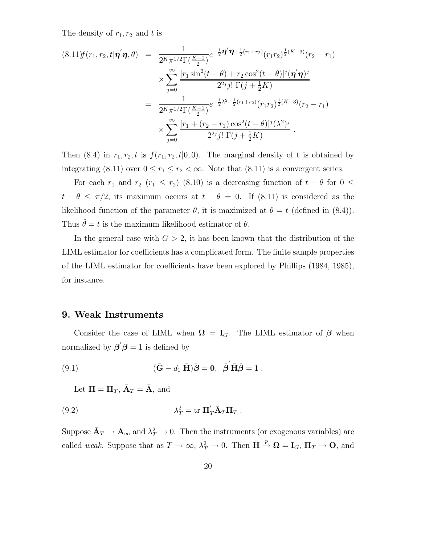The density of  $r_1, r_2$  and t is

$$
(8.11)f(r_1, r_2, t | \mathbf{\eta}^{'} \mathbf{\eta}, \theta) = \frac{1}{2^K \pi^{1/2} \Gamma(\frac{K-1}{2})} e^{-\frac{1}{2} \mathbf{\eta}^{'} \mathbf{\eta} - \frac{1}{2} (r_1 + r_2)} (r_1 r_2)^{\frac{1}{2}(K-3)} (r_2 - r_1)
$$
  

$$
\times \sum_{j=0}^{\infty} \frac{[r_1 \sin^2(t-\theta) + r_2 \cos^2(t-\theta)]^j (\mathbf{\eta}^{'} \mathbf{\eta})^j}{2^{2j} j! \Gamma(j+\frac{1}{2}K)}
$$
  

$$
= \frac{1}{2^K \pi^{1/2} \Gamma(\frac{K-1}{2})} e^{-\frac{1}{2}\lambda^2 - \frac{1}{2}(r_1 + r_2)} (r_1 r_2)^{\frac{1}{2}(K-3)} (r_2 - r_1)
$$
  

$$
\times \sum_{j=0}^{\infty} \frac{[r_1 + (r_2 - r_1) \cos^2(t-\theta)]^j (\lambda^2)^j}{2^{2j} j! \Gamma(j+\frac{1}{2}K)}.
$$

Then (8.4) in  $r_1, r_2, t$  is  $f(r_1, r_2, t | 0, 0)$ . The marginal density of t is obtained by integrating (8.11) over  $0 \le r_1 \le r_2 < \infty$ . Note that (8.11) is a convergent series.

For each  $r_1$  and  $r_2$  ( $r_1 \leq r_2$ ) (8.10) is a decreasing function of  $t - \theta$  for  $0 \leq$  $t - \theta \leq \pi/2$ ; its maximum occurs at  $t - \theta = 0$ . If (8.11) is considered as the likelihood function of the parameter  $\theta$ , it is maximized at  $\theta = t$  (defined in (8.4)). Thus  $\hat{\theta} = t$  is the maximum likelihood estimator of  $\theta$ .

In the general case with  $G > 2$ , it has been known that the distribution of the LIML estimator for coefficients has a complicated form. The finite sample properties of the LIML estimator for coefficients have been explored by Phillips (1984, 1985), for instance.

#### **9. Weak Instruments**

Consider the case of LIML when  $\Omega = I_G$ . The LIML estimator of  $\beta$  when normalized by  $\beta' \beta = 1$  is defined by

(9.1) 
$$
(\bar{G} - d_1 \bar{H})\hat{\boldsymbol{\beta}} = 0, \ \hat{\boldsymbol{\beta}}' \bar{H}\hat{\boldsymbol{\beta}} = 1.
$$

Let  $\Pi = \Pi_T$ ,  $\bar{\mathbf{A}}_T = \bar{\mathbf{A}}$ , and

(9.2) 
$$
\lambda_T^2 = \text{tr} \, \Pi'_T \bar{A}_T \Pi_T \, .
$$

Suppose  $\bar{\mathbf{A}}_T \to \mathbf{A}_{\infty}$  and  $\lambda_T^2 \to 0$ . Then the instruments (or exogenous variables) are called *weak*. Suppose that as  $T \to \infty$ ,  $\lambda_T^2 \to 0$ . Then  $\bar{H} \stackrel{p}{\to} \Omega = I_G$ ,  $\Pi_T \to \mathbf{O}$ , and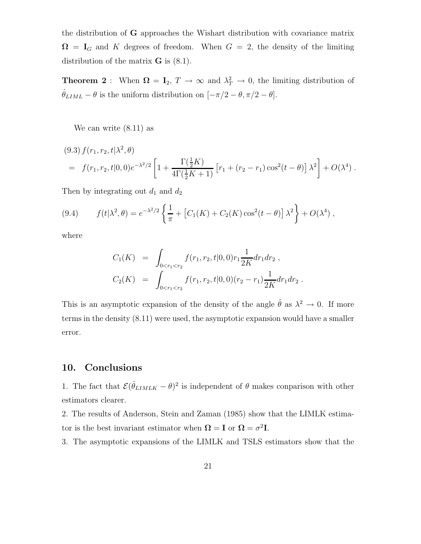the distribution of **G** approaches the Wishart distribution with covariance matrix  $\Omega = I_G$  and K degrees of freedom. When  $G = 2$ , the density of the limiting distribution of the matrix **G** is (8.1).

**Theorem 2**: When  $\Omega = I_2$ ,  $T \to \infty$  and  $\lambda_T^2 \to 0$ , the limiting distribution of  $\hat{\theta}_{LIML} - \theta$  is the uniform distribution on  $[-\pi/2 - \theta, \pi/2 - \theta]$ .

We can write (8.11) as

$$
(9.3) f(r_1, r_2, t | \lambda^2, \theta)
$$
  
=  $f(r_1, r_2, t | 0, 0) e^{-\lambda^2/2} \left[ 1 + \frac{\Gamma(\frac{1}{2}K)}{4\Gamma(\frac{1}{2}K + 1)} \left[ r_1 + (r_2 - r_1) \cos^2(t - \theta) \right] \lambda^2 \right] + O(\lambda^4).$ 

Then by integrating out  $d_1$  and  $d_2$ 

(9.4) 
$$
f(t|\lambda^2, \theta) = e^{-\lambda^2/2} \left\{ \frac{1}{\pi} + \left[ C_1(K) + C_2(K) \cos^2(t - \theta) \right] \lambda^2 \right\} + O(\lambda^4) ,
$$

where

$$
C_1(K) = \int_{0 < r_1 < r_2} f(r_1, r_2, t | 0, 0) r_1 \frac{1}{2K} dr_1 dr_2 ,
$$
  
\n
$$
C_2(K) = \int_{0 < r_1 < r_2} f(r_1, r_2, t | 0, 0) (r_2 - r_1) \frac{1}{2K} dr_1 dr_2 .
$$

This is an asymptotic expansion of the density of the angle  $\hat{\theta}$  as  $\lambda^2 \to 0$ . If more terms in the density (8.11) were used, the asymptotic expansion would have a smaller error.

# **10. Conclusions**

1. The fact that  $\mathcal{E}(\hat{\theta}_{LIMLK} - \theta)^2$  is independent of  $\theta$  makes conparison with other estimators clearer.

2. The results of Anderson, Stein and Zaman (1985) show that the LIMLK estimator is the best invariant estimator when  $\Omega = I$  or  $\Omega = \sigma^2 I$ .

3. The asymptotic expansions of the LIMLK and TSLS estimators show that the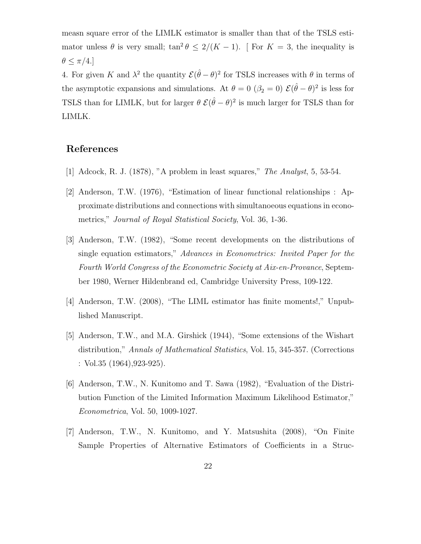measn square error of the LIMLK estimator is smaller than that of the TSLS estimator unless  $\theta$  is very small;  $\tan^2 \theta \leq 2/(K-1)$ . [For  $K = 3$ , the inequality is  $\theta \leq \pi/4.$ 

4. For given K and  $\lambda^2$  the quantity  $\mathcal{E}(\hat{\theta} - \theta)^2$  for TSLS increases with  $\theta$  in terms of the asymptotic expansions and simulations. At  $\theta = 0$  ( $\beta_2 = 0$ )  $\mathcal{E}(\hat{\theta} - \theta)^2$  is less for TSLS than for LIMLK, but for larger  $\theta \mathcal{E}(\hat{\theta} - \theta)^2$  is much larger for TSLS than for LIMLK.

## **References**

- [1] Adcock, R. J. (1878), "A problem in least squares," *The Analyst*, 5, 53-54.
- [2] Anderson, T.W. (1976), "Estimation of linear functional relationships : Approximate distributions and connections with simultanoeous equations in econometrics," *Journal of Royal Statistical Society*, Vol. 36, 1-36.
- [3] Anderson, T.W. (1982), "Some recent developments on the distributions of single equation estimators," *Advances in Econometrics: Invited Paper for the Fourth World Congress of the Econometric Society at Aix-en-Provance*, September 1980, Werner Hildenbrand ed, Cambridge University Press, 109-122.
- [4] Anderson, T.W. (2008), "The LIML estimator has finite moments!," Unpublished Manuscript.
- [5] Anderson, T.W., and M.A. Girshick (1944), "Some extensions of the Wishart distribution," *Annals of Mathematical Statistics*, Vol. 15, 345-357. (Corrections : Vol.35 (1964),923-925).
- [6] Anderson, T.W., N. Kunitomo and T. Sawa (1982), "Evaluation of the Distribution Function of the Limited Information Maximum Likelihood Estimator," *Econometrica*, Vol. 50, 1009-1027.
- [7] Anderson, T.W., N. Kunitomo, and Y. Matsushita (2008), "On Finite Sample Properties of Alternative Estimators of Coefficients in a Struc-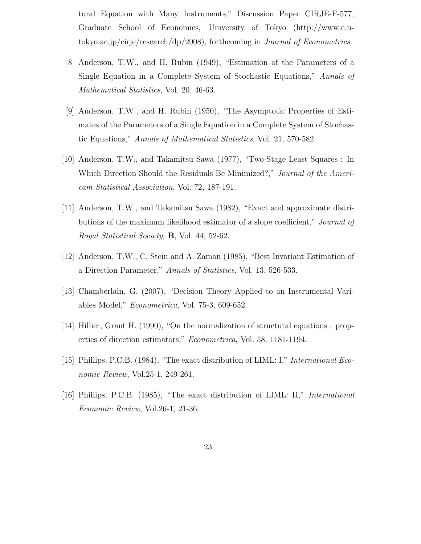tural Equation with Many Instruments," Discussion Paper CIRJE-F-577, Graduate School of Economics, University of Tokyo (http://www.e.utokyo.ac.jp/cirje/research/dp/2008), forthcoming in *Journal of Econometrics*.

- [8] Anderson, T.W., and H. Rubin (1949), "Estimation of the Parameters of a Single Equation in a Complete System of Stochastic Equations," *Annals of Mathematical Statistics*, Vol. 20, 46-63.
- [9] Anderson, T.W., and H. Rubin (1950), "The Asymptotic Properties of Estimates of the Parameters of a Single Equation in a Complete System of Stochastic Equations," *Annals of Mathematical Statistics*, Vol. 21, 570-582.
- [10] Anderson, T.W., and Takamitsu Sawa (1977), "Two-Stage Least Squares : In Which Direction Should the Residuals Be Minimized?," *Journal of the Americam Statistical Association*, Vol. 72, 187-191.
- [11] Anderson, T.W., and Takamitsu Sawa (1982), "Exact and approximate distributions of the maximum likelihood estimator of a slope coefficient," *Journal of Royal Statistical Society*, **B**, Vol. 44, 52-62.
- [12] Anderson, T.W., C. Stein and A. Zaman (1985), "Best Invariant Estimation of a Direction Parameter," *Annals of Statistics*, Vol. 13, 526-533.
- [13] Chamberlain, G. (2007), "Decision Theory Applied to an Instrumental Variables Model," *Econometrica*, Vol. 75-3, 609-652.
- [14] Hillier, Grant H. (1990), "On the normalization of structural equations : properties of direction estimators," *Econometrica*, Vol. 58, 1181-1194.
- [15] Phillips, P.C.B. (1984), "The exact distribution of LIML: I," *International Economic Review*, Vol.25-1, 249-261.
- [16] Phillips, P.C.B. (1985), "The exact distribution of LIML: II," *International Economic Review*, Vol.26-1, 21-36.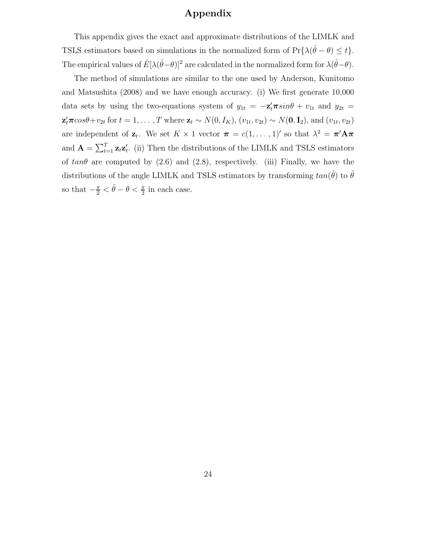# **Appendix**

This appendix gives the exact and approximate distributions of the LIMLK and TSLS estimators based on simulations in the normalized form of  $Pr{\lambda(\hat{\theta} - \theta) \leq t}$ . The empirical values of  $\hat{E}[\lambda(\hat{\theta}-\theta)]^2$  are calculated in the normalized form for  $\lambda(\hat{\theta}-\theta)$ .

The method of simulations are similar to the one used by Anderson, Kunitomo and Matsushita (2008) and we have enough accuracy. (i) We first generate 10,000 data sets by using the two-equations system of  $y_{1t} = -\mathbf{z}'_t \boldsymbol{\pi} \sin \theta + v_{1t}$  and  $y_{2t} =$  $\mathbf{z}'_t \boldsymbol{\pi} \cos \theta + v_{2t}$  for  $t = 1, ..., T$  where  $\mathbf{z}_t \sim N(0, I_K)$ ,  $(v_{1t}, v_{2t}) \sim N(\mathbf{0}, \mathbf{I}_2)$ , and  $(v_{1t}, v_{2t})$ are independent of  $\mathbf{z}_t$ . We set  $K \times 1$  vector  $\boldsymbol{\pi} = c(1,\ldots,1)'$  so that  $\lambda^2 = \boldsymbol{\pi}' \mathbf{A} \boldsymbol{\pi}$ and  $\mathbf{A} = \sum_{t=1}^{T} \mathbf{z}_t \mathbf{z}'_t$ . (ii) Then the distributions of the LIMLK and TSLS estimators of  $tan\theta$  are computed by (2.6) and (2.8), respectively. (iii) Finally, we have the distributions of the angle LIMLK and TSLS estimators by transforming  $tan(\theta)$  to  $\theta$ so that  $-\frac{\pi}{2} < \hat{\theta} - \theta < \frac{\pi}{2}$  in each case.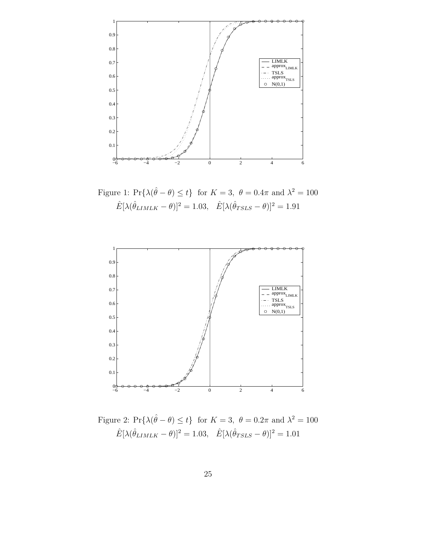

Figure 1:  $Pr{\{\lambda(\hat{\theta} - \theta) \leq t\}}$  for  $K = 3$ ,  $\theta = 0.4\pi$  and  $\lambda^2 = 100$  $\hat{E}[\lambda(\hat{\theta}_{LIMLK} - \theta)]^2 = 1.03, \quad \hat{E}[\lambda(\hat{\theta}_{TSLS} - \theta)]^2 = 1.91$ 



Figure 2:  $Pr{\{\lambda(\hat{\theta} - \theta) \leq t\}}$  for  $K = 3$ ,  $\theta = 0.2\pi$  and  $\lambda^2 = 100$  $\hat{E}[\lambda(\hat{\theta}_{LIMLK} - \theta)]^2 = 1.03, \quad \hat{E}[\lambda(\hat{\theta}_{TSLS} - \theta)]^2 = 1.01$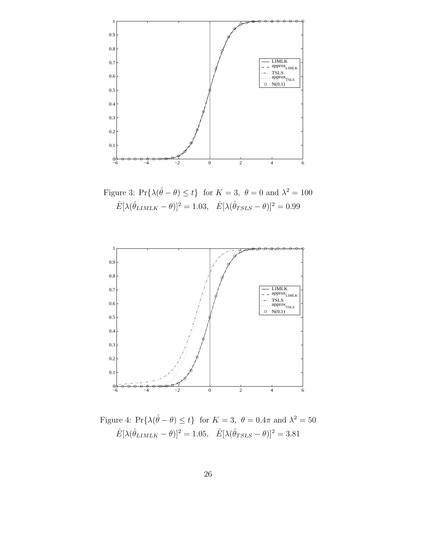

Figure 3:  $Pr{\{\lambda(\hat{\theta} - \theta) \leq t\}}$  for  $K = 3$ ,  $\theta = 0$  and  $\lambda^2 = 100$  $\hat{E}[\lambda(\hat{\theta}_{LIMLK} - \theta)]^2 = 1.03, \quad \hat{E}[\lambda(\hat{\theta}_{TSLS} - \theta)]^2 = 0.99$ 



Figure 4:  $Pr{\{\lambda(\hat{\theta} - \theta) \leq t\}}$  for  $K = 3$ ,  $\theta = 0.4\pi$  and  $\lambda^2 = 50$  $\hat{E}[\lambda(\hat{\theta}_{LIMLK} - \theta)]^2 = 1.05, \quad \hat{E}[\lambda(\hat{\theta}_{TSLS} - \theta)]^2 = 3.81$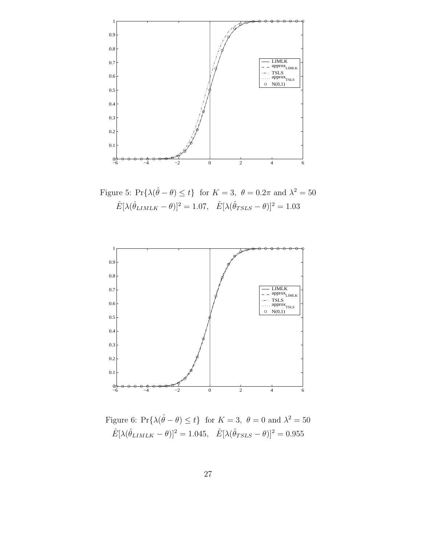

Figure 5:  $Pr{\{\lambda(\hat{\theta} - \theta) \leq t\}}$  for  $K = 3$ ,  $\theta = 0.2\pi$  and  $\lambda^2 = 50$  $\hat{E}[\lambda(\hat{\theta}_{LIMLK} - \theta)]^2 = 1.07, \quad \hat{E}[\lambda(\hat{\theta}_{TSLS} - \theta)]^2 = 1.03$ 



Figure 6:  $Pr{\{\lambda(\hat{\theta} - \theta) \leq t\}}$  for  $K = 3$ ,  $\theta = 0$  and  $\lambda^2 = 50$  $\hat{E}[\lambda(\hat{\theta}_{LIMLK}-\theta)]^2=1.045,~~\hat{E}[\lambda(\hat{\theta}_{TSLS}-\theta)]^2=0.955$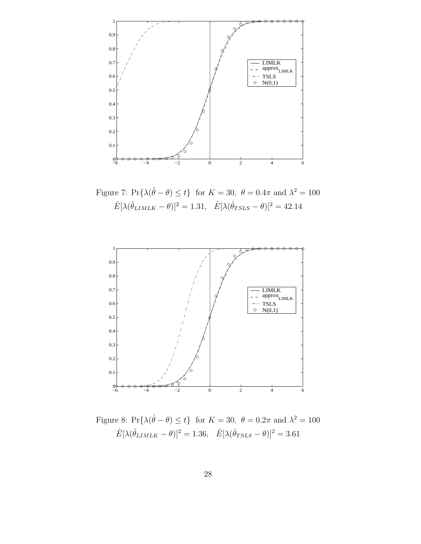

Figure 7:  $Pr{\{\lambda(\hat{\theta} - \theta) \leq t\}}$  for  $K = 30, \ \theta = 0.4\pi$  and  $\lambda^2 = 100$  $\hat{E}[\lambda(\hat{\theta}_{LIMLK} - \theta)]^2 = 1.31, \quad \hat{E}[\lambda(\hat{\theta}_{TSLS} - \theta)]^2 = 42.14$ 



Figure 8:  $Pr{\{\lambda(\hat{\theta} - \theta) \leq t\}}$  for  $K = 30, \ \theta = 0.2\pi$  and  $\lambda^2 = 100$  $\hat{E}[\lambda(\hat{\theta}_{LIMLK} - \theta)]^2 = 1.36, \quad \hat{E}[\lambda(\hat{\theta}_{TSLS} - \theta)]^2 = 3.61$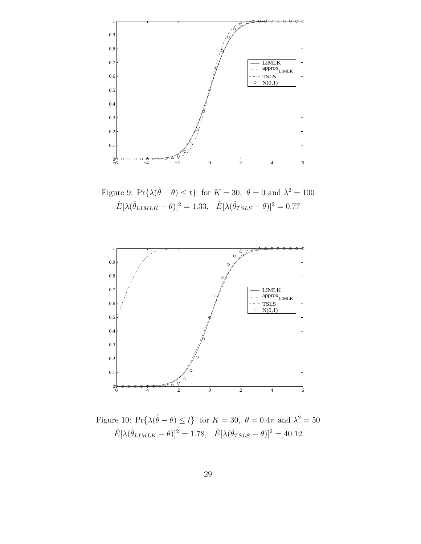

Figure 9:  $Pr{\{\lambda(\hat{\theta} - \theta) \leq t\}}$  for  $K = 30, \ \theta = 0$  and  $\lambda^2 = 100$  $\hat{E}[\lambda(\hat{\theta}_{LIMLK} - \theta)]^2 = 1.33, \quad \hat{E}[\lambda(\hat{\theta}_{TSLS} - \theta)]^2 = 0.77$ 



Figure 10:  $Pr{\{\lambda(\hat{\theta} - \theta) \leq t\}}$  for  $K = 30, \ \theta = 0.4\pi$  and  $\lambda^2 = 50$  $\hat{E}[\lambda(\hat{\theta}_{LIMLK}-\theta)]^2=1.78,~~\hat{E}[\lambda(\hat{\theta}_{TSLS}-\theta)]^2=40.12$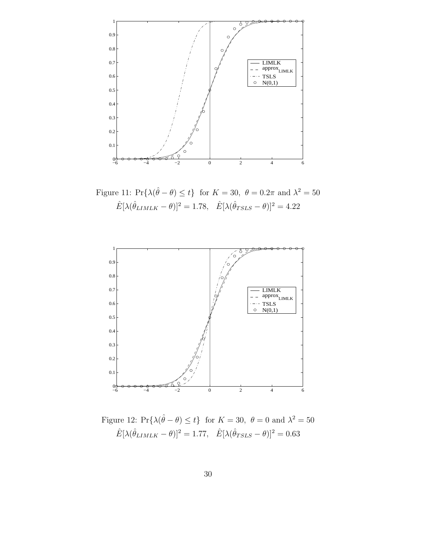

Figure 11:  $Pr{\{\lambda(\hat{\theta} - \theta) \leq t\}}$  for  $K = 30, \ \theta = 0.2\pi$  and  $\lambda^2 = 50$  $\hat{E}[\lambda(\hat{\theta}_{LIMLK} - \theta)]^2 = 1.78, \quad \hat{E}[\lambda(\hat{\theta}_{TSLS} - \theta)]^2 = 4.22$ 



Figure 12:  $Pr{\{\lambda(\hat{\theta} - \theta) \leq t\}}$  for  $K = 30, \ \theta = 0$  and  $\lambda^2 = 50$  $\hat{E}[\lambda(\hat{\theta}_{LIMLK} - \theta)]^2 = 1.77, \quad \hat{E}[\lambda(\hat{\theta}_{TSLS} - \theta)]^2 = 0.63$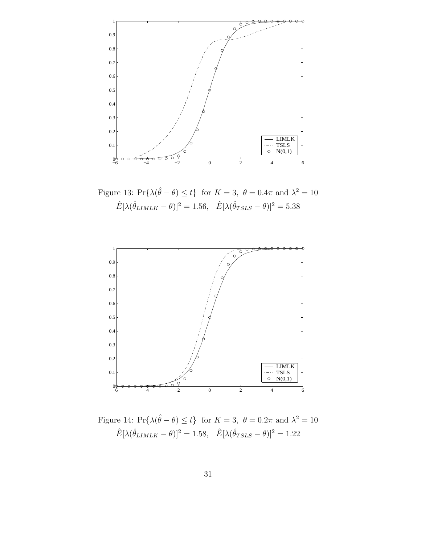

Figure 13:  $Pr{\{\lambda(\hat{\theta} - \theta) \leq t\}}$  for  $K = 3$ ,  $\theta = 0.4\pi$  and  $\lambda^2 = 10$  $\hat{E}[\lambda(\hat{\theta}_{LIMLK}-\theta)]^2=1.56,~~\hat{E}[\lambda(\hat{\theta}_{TSLS}-\theta)]^2=5.38$ 



Figure 14:  $Pr{\{\lambda(\hat{\theta} - \theta) \leq t\}}$  for  $K = 3$ ,  $\theta = 0.2\pi$  and  $\lambda^2 = 10$  $\hat{E}[\lambda(\hat{\theta}_{LIMLK} - \theta)]^2 = 1.58, \quad \hat{E}[\lambda(\hat{\theta}_{TSLS} - \theta)]^2 = 1.22$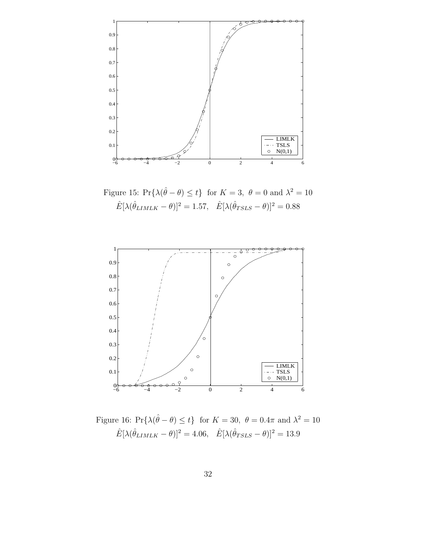

Figure 15:  $Pr{\{\lambda(\hat{\theta} - \theta) \leq t\}}$  for  $K = 3$ ,  $\theta = 0$  and  $\lambda^2 = 10$  $\hat{E}[\lambda(\hat{\theta}_{LIMLK} - \theta)]^2 = 1.57, \quad \hat{E}[\lambda(\hat{\theta}_{TSLS} - \theta)]^2 = 0.88$ 



Figure 16: Pr{ $\lambda(\hat{\theta} - \theta) \le t$ } for  $K = 30$ ,  $\theta = 0.4\pi$  and  $\lambda^2 = 10$  $\hat{E}[\lambda(\hat{\theta}_{LIMLK} - \theta)]^2 = 4.06, \quad \hat{E}[\lambda(\hat{\theta}_{TSLS} - \theta)]^2 = 13.9$